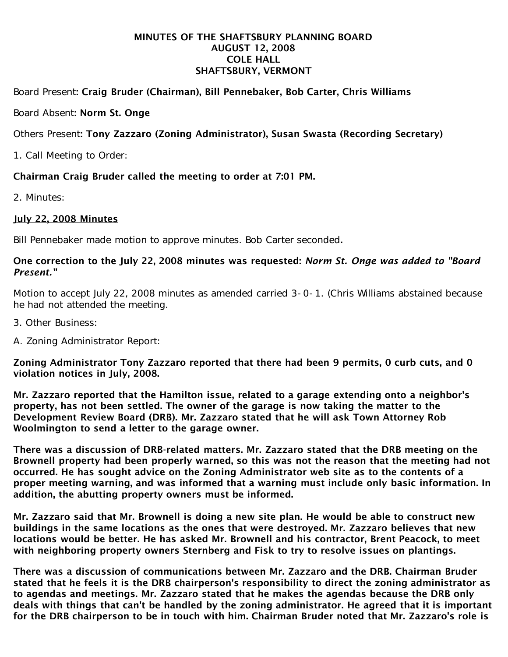### MINUTES OF THE SHAFTSBURY PLANNING BOARD AUGUST 12, 2008 COLE HALL SHAFTSBURY, VERMONT

# Board Present: Craig Bruder (Chairman), Bill Pennebaker, Bob Carter, Chris Williams

### Board Absent: Norm St. Onge

# Others Present: Tony Zazzaro (Zoning Administrator), Susan Swasta (Recording Secretary)

1. Call Meeting to Order:

## Chairman Craig Bruder called the meeting to order at 7:01 PM.

2. Minutes:

### July 22, 2008 Minutes

Bill Pennebaker made motion to approve minutes. Bob Carter seconded.

### One correction to the July 22, 2008 minutes was requested: *Norm St. Onge was added to "Board Present."*

Motion to accept July 22, 2008 minutes as amended carried 3-0-1. (Chris Williams abstained because he had not attended the meeting.

- 3. Other Business:
- A. Zoning Administrator Report:

Zoning Administrator Tony Zazzaro reported that there had been 9 permits, 0 curb cuts, and 0 violation notices in July, 2008.

Mr. Zazzaro reported that the Hamilton issue, related to a garage extending onto a neighbor's property, has not been settled. The owner of the garage is now taking the matter to the Development Review Board (DRB). Mr. Zazzaro stated that he will ask Town Attorney Rob Woolmington to send a letter to the garage owner.

There was a discussion of DRB-related matters. Mr. Zazzaro stated that the DRB meeting on the Brownell property had been properly warned, so this was not the reason that the meeting had not occurred. He has sought advice on the Zoning Administrator web site as to the contents of a proper meeting warning, and was informed that a warning must include only basic information. In addition, the abutting property owners must be informed.

Mr. Zazzaro said that Mr. Brownell is doing a new site plan. He would be able to construct new buildings in the same locations as the ones that were destroyed. Mr. Zazzaro believes that new locations would be better. He has asked Mr. Brownell and his contractor, Brent Peacock, to meet with neighboring property owners Sternberg and Fisk to try to resolve issues on plantings.

There was a discussion of communications between Mr. Zazzaro and the DRB. Chairman Bruder stated that he feels it is the DRB chairperson's responsibility to direct the zoning administrator as to agendas and meetings. Mr. Zazzaro stated that he makes the agendas because the DRB only deals with things that can't be handled by the zoning administrator. He agreed that it is important for the DRB chairperson to be in touch with him. Chairman Bruder noted that Mr. Zazzaro's role is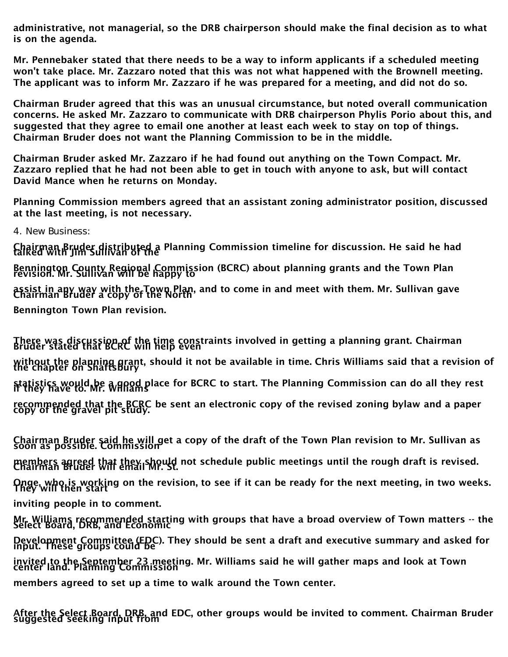administrative, not managerial, so the DRB chairperson should make the final decision as to what is on the agenda.

Mr. Pennebaker stated that there needs to be a way to inform applicants if a scheduled meeting won't take place. Mr. Zazzaro noted that this was not what happened with the Brownell meeting. The applicant was to inform Mr. Zazzaro if he was prepared for a meeting, and did not do so.

Chairman Bruder agreed that this was an unusual circumstance, but noted overall communication concerns. He asked Mr. Zazzaro to communicate with DRB chairperson Phylis Porio about this, and suggested that they agree to email one another at least each week to stay on top of things. Chairman Bruder does not want the Planning Commission to be in the middle.

Chairman Bruder asked Mr. Zazzaro if he had found out anything on the Town Compact. Mr. Zazzaro replied that he had not been able to get in touch with anyone to ask, but will contact David Mance when he returns on Monday.

Planning Commission members agreed that an assistant zoning administrator position, discussed at the last meeting, is not necessary.

4. New Business:

Chairman Bruder distributed a Planning Commission timeline for discussion. He said he had<br>talked with Jim Sullivan of the Bennington County Regional Commission (BCRC) about planning grants and the Town Plan<br>revision. Mr. Sullivan will be happy to assist in any way with the Town Plan, and to come in and meet with them. Mr. Sullivan gave<br>Chairman Bruder a copy of the North Bennington Town Plan revision.

There was discussion of the time constraints involved in getting a planning grant. Chairman<br>Bruder stated that BCRC will help even without the planning grant, should it not be available in time. Chris Williams said that a revision of<br>the chapter on Shaftsbury statistics would be a good place for BCRC to start. The Planning Commission can do all they rest<br>if they have to. Mr. Williams recommended that the BCRC be sent an electronic copy of the revised zoning bylaw and a paper<br>copy of the gravel pit study.

Chairman Bruder said he will get a copy of the draft of the Town Plan revision to Mr. Sullivan as<br>soon as possible. Commission members agreed that they should not schedule public meetings until the rough draft is revised.<br>Chairman Bruder will email Mr. St. Onge, who is working on the revision, to see if it can be ready for the next meeting, in two weeks.<br>They will then start inviting people in to comment.

Mr. Williams recommended starting with groups that have a broad overview of Town matters -- the<br>Select Board, DRB, and Economic Development Committee (EDC). They should be sent a draft and executive summary and asked for<br>input. These groups could be invited to the September 23 meeting. Mr. Williams said he will gather maps and look at Town<br>center land. Planning Commission members agreed to set up a time to walk around the Town center.

After the Select Board, DRB, and EDC, other groups would be invited to comment. Chairman Bruder<br>suggested seeking input from